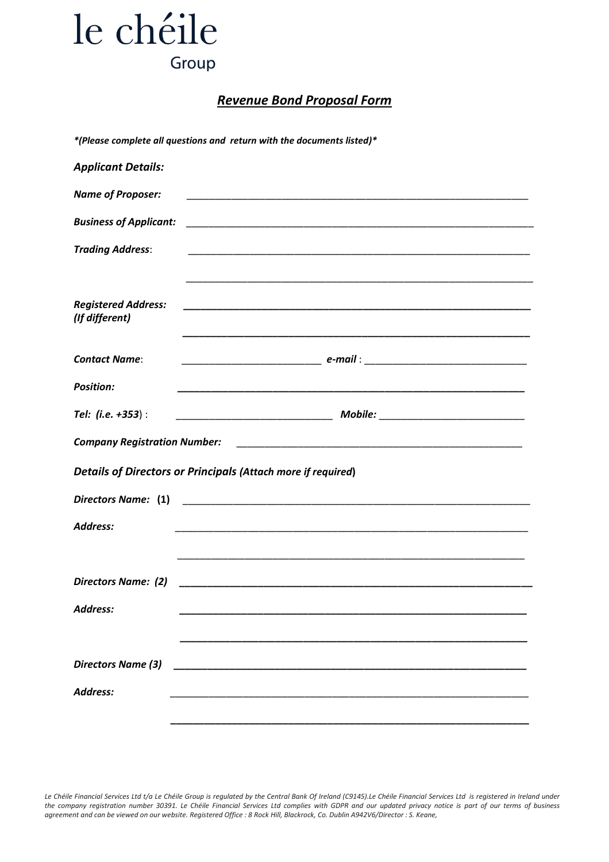## le chéile Group

### *Revenue Bond Proposal Form*

|                                              | *(Please complete all questions and return with the documents listed)*                                               |
|----------------------------------------------|----------------------------------------------------------------------------------------------------------------------|
| <b>Applicant Details:</b>                    |                                                                                                                      |
| <b>Name of Proposer:</b>                     |                                                                                                                      |
| <b>Business of Applicant:</b>                | <u> 2000 - Jan James James James James James James James James James James James James James James James James J</u> |
| <b>Trading Address:</b>                      |                                                                                                                      |
| <b>Registered Address:</b><br>(If different) |                                                                                                                      |
| <b>Contact Name:</b>                         |                                                                                                                      |
| <b>Position:</b>                             |                                                                                                                      |
| Tel: (i.e. +353) :                           |                                                                                                                      |
| <b>Company Registration Number:</b>          |                                                                                                                      |
|                                              | <b>Details of Directors or Principals (Attach more if required)</b>                                                  |
| Directors Name: (1)                          |                                                                                                                      |
| <b>Address:</b>                              |                                                                                                                      |
|                                              |                                                                                                                      |
| <b>Directors Name: (2)</b>                   |                                                                                                                      |
| Address:                                     |                                                                                                                      |
|                                              |                                                                                                                      |
| <b>Directors Name (3)</b>                    |                                                                                                                      |
| <b>Address:</b>                              |                                                                                                                      |
|                                              |                                                                                                                      |

*Le Chéile Financial Services Ltd t/a Le Chéile Group is regulated by the Central Bank Of Ireland (C9145).Le Chéile Financial Services Ltd is registered in Ireland under the company registration number 30391. Le Chéile Financial Services Ltd complies with GDPR and our updated privacy notice is part of our terms of business agreement and can be viewed on our website. Registered Office : 8 Rock Hill, Blackrock, Co. Dublin A942V6/Director : S. Keane,*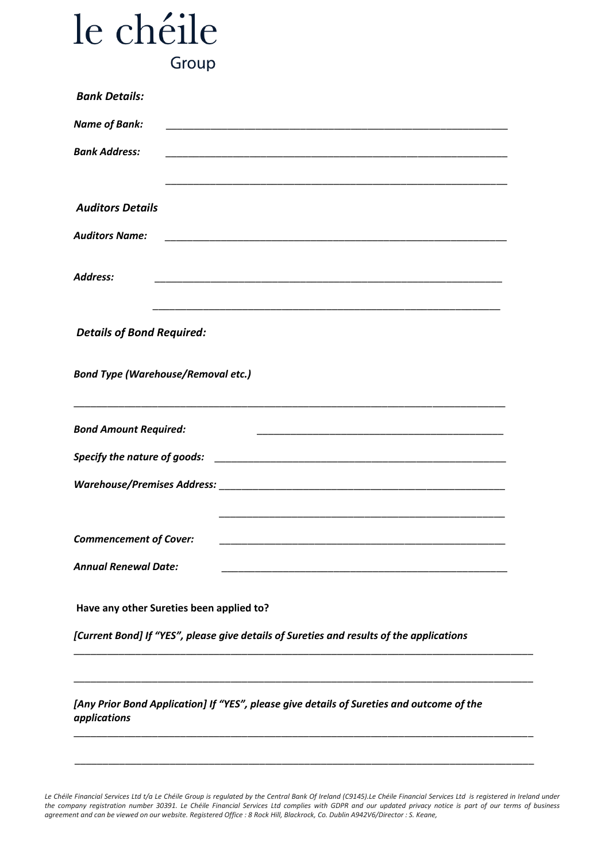# le chéile Group

| <b>Bank Details:</b>                                                                                      |  |  |  |
|-----------------------------------------------------------------------------------------------------------|--|--|--|
| <b>Name of Bank:</b>                                                                                      |  |  |  |
| <b>Bank Address:</b>                                                                                      |  |  |  |
| <b>Auditors Details</b>                                                                                   |  |  |  |
| <b>Auditors Name:</b>                                                                                     |  |  |  |
| <b>Address:</b>                                                                                           |  |  |  |
| <b>Details of Bond Required:</b>                                                                          |  |  |  |
| <b>Bond Type (Warehouse/Removal etc.)</b>                                                                 |  |  |  |
| <b>Bond Amount Required:</b>                                                                              |  |  |  |
|                                                                                                           |  |  |  |
|                                                                                                           |  |  |  |
| <b>Commencement of Cover:</b>                                                                             |  |  |  |
| <b>Annual Renewal Date:</b>                                                                               |  |  |  |
| Have any other Sureties been applied to?                                                                  |  |  |  |
| [Current Bond] If "YES", please give details of Sureties and results of the applications                  |  |  |  |
|                                                                                                           |  |  |  |
| [Any Prior Bond Application] If "YES", please give details of Sureties and outcome of the<br>applications |  |  |  |

*Le Chéile Financial Services Ltd t/a Le Chéile Group is regulated by the Central Bank Of Ireland (C9145).Le Chéile Financial Services Ltd is registered in Ireland under the company registration number 30391. Le Chéile Financial Services Ltd complies with GDPR and our updated privacy notice is part of our terms of business agreement and can be viewed on our website. Registered Office : 8 Rock Hill, Blackrock, Co. Dublin A942V6/Director : S. Keane,*

\_\_\_\_\_\_\_\_\_\_\_\_\_\_\_\_\_\_\_\_\_\_\_\_\_\_\_\_\_\_\_\_\_\_\_\_\_\_\_\_\_\_\_\_\_\_\_\_\_\_\_\_\_\_\_\_\_\_\_\_\_\_\_\_\_\_\_\_\_\_\_\_\_\_\_\_\_\_\_\_\_\_

\_\_\_\_\_\_\_\_\_\_\_\_\_\_\_\_\_\_\_\_\_\_\_\_\_\_\_\_\_\_\_\_\_\_\_\_\_\_\_\_\_\_\_\_\_\_\_\_\_\_\_\_\_\_\_\_\_\_\_\_\_\_\_\_\_\_\_\_\_\_\_\_\_\_\_\_\_\_\_\_\_\_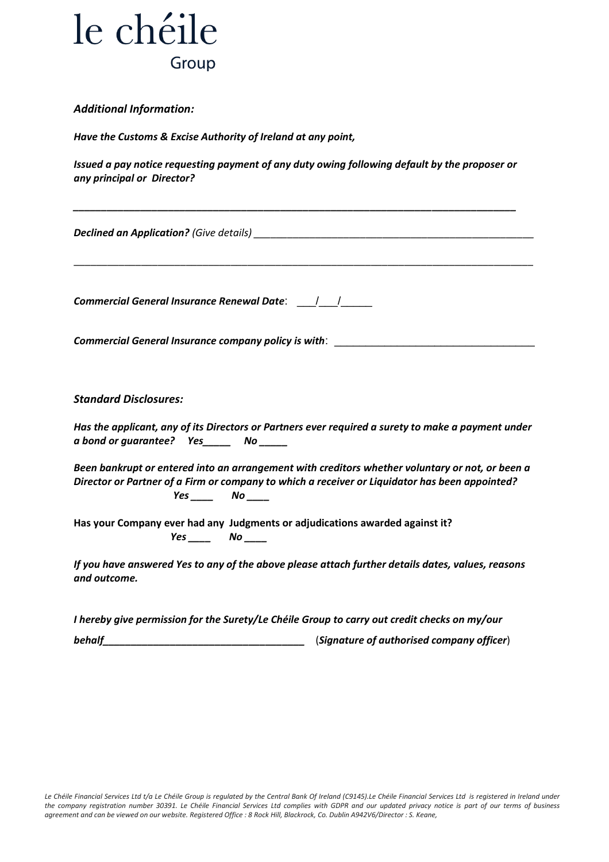

#### *Additional Information:*

*Have the Customs & Excise Authority of Ireland at any point,* 

*Issued a pay notice requesting payment of any duty owing following default by the proposer or any principal or Director?*

*\_\_\_\_\_\_\_\_\_\_\_\_\_\_\_\_\_\_\_\_\_\_\_\_\_\_\_\_\_\_\_\_\_\_\_\_\_\_\_\_\_\_\_\_\_\_\_\_\_\_\_\_\_\_\_\_\_\_\_\_\_\_\_\_\_\_\_\_\_\_\_\_\_\_\_\_\_\_\_*

\_\_\_\_\_\_\_\_\_\_\_\_\_\_\_\_\_\_\_\_\_\_\_\_\_\_\_\_\_\_\_\_\_\_\_\_\_\_\_\_\_\_\_\_\_\_\_\_\_\_\_\_\_\_\_\_\_\_\_\_\_\_\_\_\_\_\_\_\_\_\_\_\_\_\_\_\_\_\_\_\_\_

**Declined an Application?** (Give details) **Declined and Application** 

*Commercial General Insurance Renewal Date*: \_\_\_/\_\_\_/\_\_\_\_\_

*Commercial General Insurance company policy is with*: \_\_\_\_\_\_\_\_\_\_\_\_\_\_\_\_\_\_\_\_\_\_\_\_\_\_\_\_\_\_\_\_

*Standard Disclosures:*

*Has the applicant, any of its Directors or Partners ever required a surety to make a payment under a bond or guarantee? Yes\_\_\_\_\_ No \_\_\_\_\_*

*Been bankrupt or entered into an arrangement with creditors whether voluntary or not, or been a Director or Partner of a Firm or company to which a receiver or Liquidator has been appointed? Yes \_\_\_\_ No \_\_\_\_*

**Has your Company ever had any Judgments or adjudications awarded against it?** *Yes \_\_\_\_ No \_\_\_\_*

*If you have answered Yes to any of the above please attach further details dates, values, reasons and outcome.* 

*I hereby give permission for the Surety/Le Chéile Group to carry out credit checks on my/our*

*behalf\_\_\_\_\_\_\_\_\_\_\_\_\_\_\_\_\_\_\_\_\_\_\_\_\_\_\_\_\_\_\_\_\_\_\_\_* (*Signature of authorised company officer*)